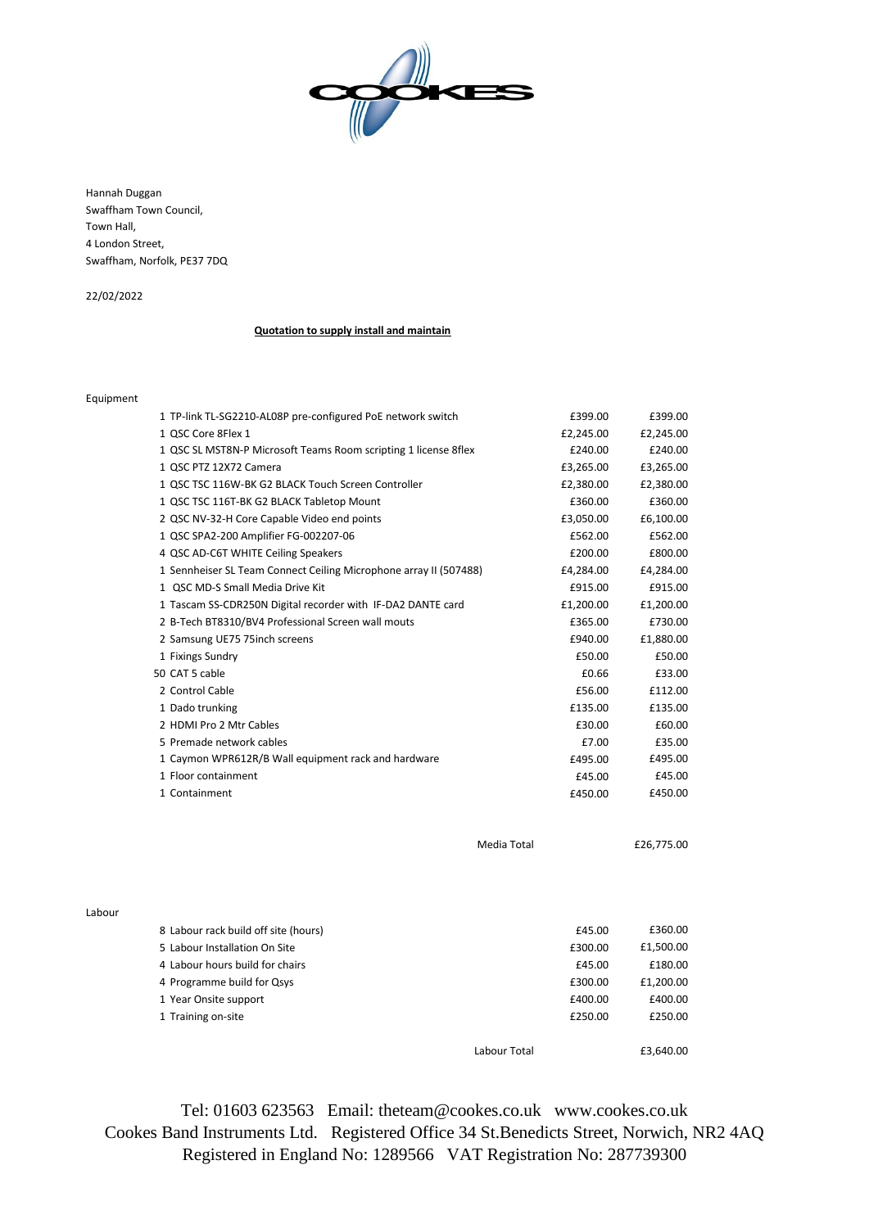

Hannah Duggan Swaffham Town Council, Town Hall, 4 London Street, Swaffham, Norfolk, PE37 7DQ

22/02/2022

## **Quotation to supply install and maintain**

## Equipment

| 1 TP-link TL-SG2210-AL08P pre-configured PoE network switch       | £399.00   | £399.00    |
|-------------------------------------------------------------------|-----------|------------|
| 1 OSC Core 8Flex 1                                                | £2,245.00 | £2,245.00  |
| 1 QSC SL MST8N-P Microsoft Teams Room scripting 1 license 8flex   | £240.00   | £240.00    |
| 1 QSC PTZ 12X72 Camera                                            | £3,265.00 | £3,265.00  |
| 1 OSC TSC 116W-BK G2 BLACK Touch Screen Controller                | £2,380.00 | £2,380.00  |
| 1 QSC TSC 116T-BK G2 BLACK Tabletop Mount                         | £360.00   | £360.00    |
| 2 QSC NV-32-H Core Capable Video end points                       | £3,050.00 | £6,100.00  |
| 1 QSC SPA2-200 Amplifier FG-002207-06                             | £562.00   | £562.00    |
| 4 QSC AD-C6T WHITE Ceiling Speakers                               | £200.00   | £800.00    |
| 1 Sennheiser SL Team Connect Ceiling Microphone array II (507488) | £4,284.00 | £4,284.00  |
| 1 QSC MD-S Small Media Drive Kit                                  | £915.00   | £915.00    |
| 1 Tascam SS-CDR250N Digital recorder with IF-DA2 DANTE card       | £1,200.00 | £1,200.00  |
| 2 B-Tech BT8310/BV4 Professional Screen wall mouts                | £365.00   | £730.00    |
| 2 Samsung UE75 75inch screens                                     | £940.00   | £1,880.00  |
| 1 Fixings Sundry                                                  | £50.00    | £50.00     |
| 50 CAT 5 cable                                                    | £0.66     | £33.00     |
| 2 Control Cable                                                   | £56.00    | £112.00    |
| 1 Dado trunking                                                   | £135.00   | £135.00    |
| 2 HDMI Pro 2 Mtr Cables                                           | £30.00    | £60.00     |
| 5 Premade network cables                                          | £7.00     | £35.00     |
| 1 Caymon WPR612R/B Wall equipment rack and hardware               | £495.00   | £495.00    |
| 1 Floor containment                                               | £45.00    | £45.00     |
| 1 Containment                                                     | £450.00   | £450.00    |
|                                                                   |           |            |
|                                                                   |           |            |
| Media Total                                                       |           | £26,775.00 |
|                                                                   |           |            |

Labour 8 Labour rack build off site (hours) 6360.00 E360.00 5 Labour Installation On Site **E1,500.00** £1,500.00 £1,500.00 4 Labour hours build for chairs **E45.00 £180.00** £180.00 4 Programme build for Qsys **EXALLE 1200.00** £1,200.00 £1,200.00 1 Year Onsite support **E400.00 £400.00 £400.00 £400.00 £400.00** 1 Training on-site **E250.00 E250.00 E250.00 E250.00** Labour Total 63,640.00

Tel: 01603 623563 Email: theteam@cookes.co.uk www.cookes.co.uk Cookes Band Instruments Ltd. Registered Office 34 St.Benedicts Street, Norwich, NR2 4AQ Registered in England No: 1289566 VAT Registration No: 287739300